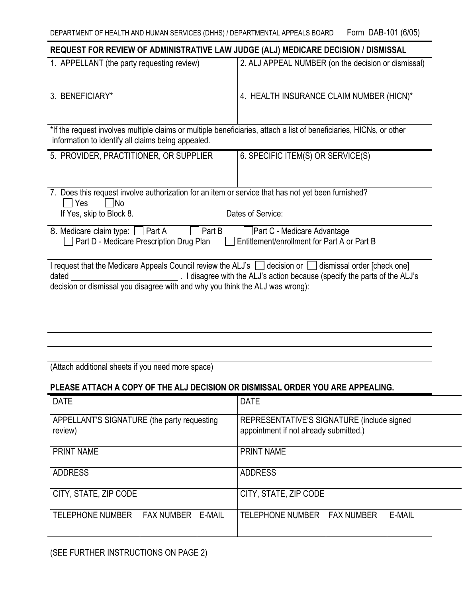| REQUEST FOR REVIEW OF ADMINISTRATIVE LAW JUDGE (ALJ) MEDICARE DECISION / DISMISSAL                                                                                                                                                                                                       |                                                     |
|------------------------------------------------------------------------------------------------------------------------------------------------------------------------------------------------------------------------------------------------------------------------------------------|-----------------------------------------------------|
| 1. APPELLANT (the party requesting review)                                                                                                                                                                                                                                               | 2. ALJ APPEAL NUMBER (on the decision or dismissal) |
| 3. BENEFICIARY*                                                                                                                                                                                                                                                                          | 4. HEALTH INSURANCE CLAIM NUMBER (HICN)*            |
| *If the request involves multiple claims or multiple beneficiaries, attach a list of beneficiaries, HICNs, or other<br>information to identify all claims being appealed.                                                                                                                |                                                     |
| 5. PROVIDER, PRACTITIONER, OR SUPPLIER                                                                                                                                                                                                                                                   | 6. SPECIFIC ITEM(S) OR SERVICE(S)                   |
| 7. Does this request involve authorization for an item or service that has not yet been furnished?<br>Yes<br>1No                                                                                                                                                                         |                                                     |
| If Yes, skip to Block 8.                                                                                                                                                                                                                                                                 | Dates of Service:                                   |
| 8. Medicare claim type: [ ] Part A<br>Part B<br>Part C - Medicare Advantage<br>Entitlement/enrollment for Part A or Part B<br>Part D - Medicare Prescription Drug Plan                                                                                                                   |                                                     |
| I request that the Medicare Appeals Council review the ALJ's $\Box$ decision or $\Box$ dismissal order [check one]<br>I disagree with the ALJ's action because (specify the parts of the ALJ's<br>dated<br>decision or dismissal you disagree with and why you think the ALJ was wrong): |                                                     |
|                                                                                                                                                                                                                                                                                          |                                                     |
|                                                                                                                                                                                                                                                                                          |                                                     |

(Attach additional sheets if you need more space)

## **PLEASE ATTACH A COPY OF THE ALJ DECISION OR DISMISSAL ORDER YOU ARE APPEALING.**

| <b>DATE</b>                                            | <b>DATE</b>                                                                          |
|--------------------------------------------------------|--------------------------------------------------------------------------------------|
| APPELLANT'S SIGNATURE (the party requesting<br>review) | REPRESENTATIVE'S SIGNATURE (include signed<br>appointment if not already submitted.) |
| <b>PRINT NAME</b>                                      | <b>PRINT NAME</b>                                                                    |
| <b>ADDRESS</b>                                         | <b>ADDRESS</b>                                                                       |
| CITY, STATE, ZIP CODE                                  | CITY, STATE, ZIP CODE                                                                |
| <b>FAX NUMBER</b><br>E-MAIL<br><b>TELEPHONE NUMBER</b> | E-MAIL<br><b>FAX NUMBER</b><br><b>TELEPHONE NUMBER</b>                               |